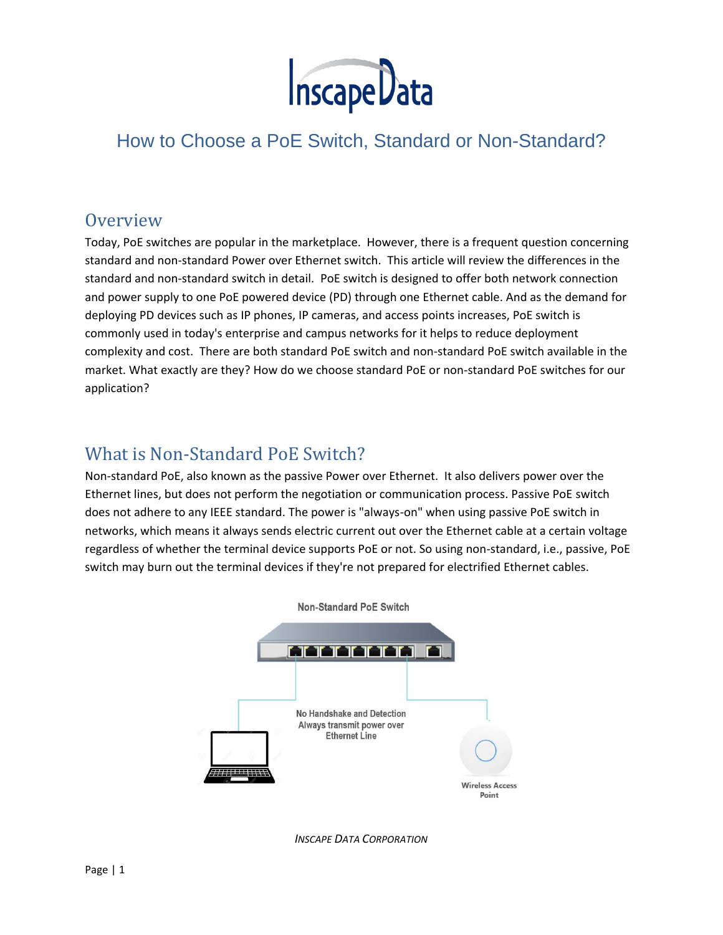

# [How to Choose a PoE Switch, Standard or Non-Standard?](javascript:;)

### **Overview**

Today, PoE switches are popular in the marketplace. However, there is a frequent question concerning standard and non-standard Power over Ethernet switch. This article will review the differences in the standard and non-standard switch in detail. PoE switch is designed to offer both network connection and power supply to one PoE powered device (PD) through one Ethernet cable. And as the demand for deploying PD devices such as IP phones, IP cameras, and access points increases, PoE switch is commonly used in today's enterprise and campus networks for it helps to reduce deployment complexity and cost. There are both standard PoE switch and non-standard PoE switch available in the market. What exactly are they? How do we choose standard PoE or non-standard PoE switches for our application?

## What is Non-Standard PoE Switch?

Non-standard PoE, also known as the passive Power over Ethernet. It also delivers power over the Ethernet lines, but does not perform the negotiation or communication process. Passive PoE switch does not adhere to any IEEE standard. The power is "always-on" when using passive PoE switch in networks, which means it always sends electric current out over the Ethernet cable at a certain voltage regardless of whether the terminal device supports PoE or not. So using non-standard, i.e., passive, PoE switch may burn out the terminal devices if they're not prepared for electrified Ethernet cables.



*INSCAPE DATA CORPORATION*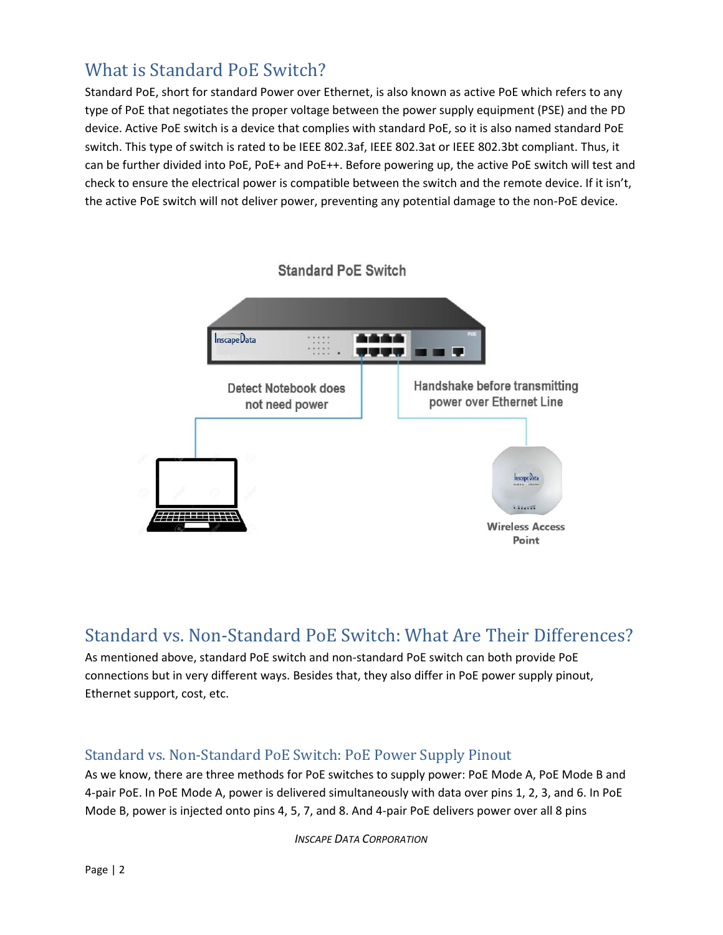# What is Standard PoE Switch?

Standard PoE, short for standard Power over Ethernet, is also known as active PoE which refers to any type of PoE that negotiates the proper voltage between the power supply equipment (PSE) and the PD device. Active PoE switch is a device that complies with standard PoE, so it is also named standard PoE switch. This type of switch is rated to be IEEE 802.3af, IEEE 802.3at or IEEE 802.3bt compliant. Thus, it can be further divided into PoE, PoE+ and PoE++. Before powering up, the active PoE switch will test and check to ensure the electrical power is compatible between the switch and the remote device. If it isn't, the active PoE switch will not deliver power, preventing any potential damage to the non-PoE device.



### Standard vs. Non-Standard PoE Switch: What Are Their Differences?

As mentioned above, standard PoE switch and non-standard PoE switch can both provide PoE connections but in very different ways. Besides that, they also differ in PoE power supply pinout, Ethernet support, cost, etc.

#### Standard vs. Non-Standard PoE Switch: PoE Power Supply Pinout

As we know, there are three methods for PoE switches to supply power: PoE Mode A, PoE Mode B and 4-pair PoE. In PoE Mode A, power is delivered simultaneously with data over pins 1, 2, 3, and 6. In PoE Mode B, power is injected onto pins 4, 5, 7, and 8. And 4-pair PoE delivers power over all 8 pins

*INSCAPE DATA CORPORATION*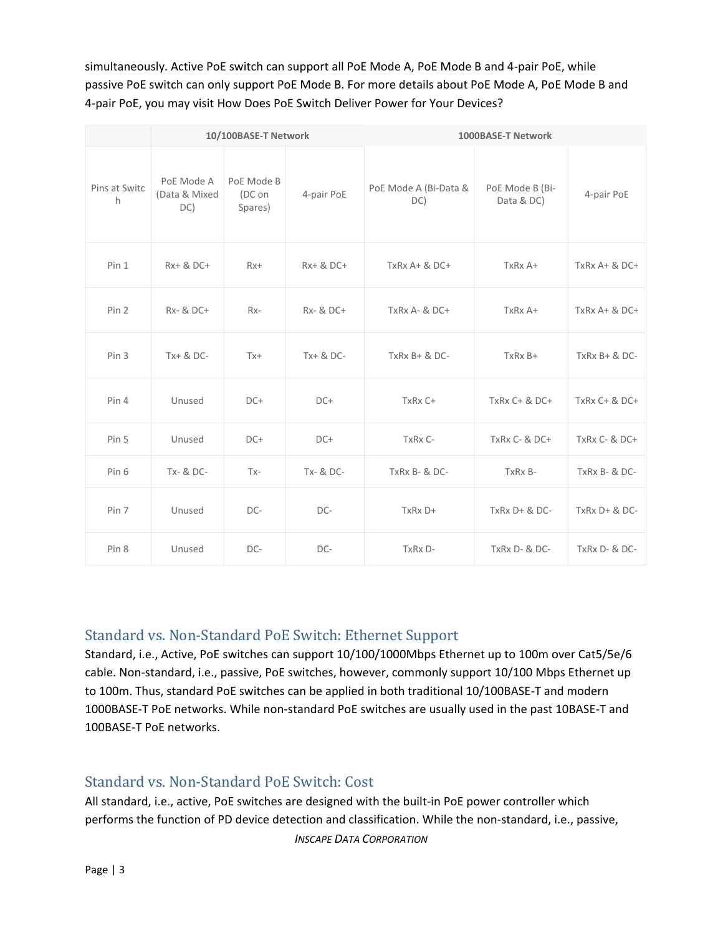simultaneously. Active PoE switch can support all PoE Mode A, PoE Mode B and 4-pair PoE, while passive PoE switch can only support PoE Mode B. For more details about PoE Mode A, PoE Mode B and 4-pair PoE, you may visit How Does PoE Switch Deliver Power for Your Devices?

|                    | 10/100BASE-T Network               |                                 |            | 1000BASE-T Network           |                               |                   |
|--------------------|------------------------------------|---------------------------------|------------|------------------------------|-------------------------------|-------------------|
| Pins at Switc<br>h | PoE Mode A<br>(Data & Mixed<br>DC) | PoE Mode B<br>(DC on<br>Spares) | 4-pair PoE | PoE Mode A (Bi-Data &<br>DC) | PoE Mode B (Bi-<br>Data & DC) | 4-pair PoE        |
| Pin 1              | Rx+ & DC+                          | $Rx+$                           | Rx+ & DC+  | TxRx A+ & DC+                | TxRx A+                       | TxRx A+ & DC+     |
| Pin 2              | <b>Rx- &amp; DC+</b>               | $Rx-$                           | Rx- & DC+  | $TxRxA-&DC+$                 | TxRx A+                       | $TxRxA+&DC+$      |
| Pin <sub>3</sub>   | $Tx + 8$ DC-                       | $Tx +$                          | Tx+ & DC-  | $TxRx B + & DC -$            | TxRx B+                       | $TxRx B + & DC -$ |
| Pin 4              | Unused                             | $DC+$                           | $DC+$      | TxRx C+                      | TxRx C+ & DC+                 | TxRx C+ & DC+     |
| Pin 5              | Unused                             | $DC+$                           | $DC+$      | TxRx C-                      | TxRx C- & DC+                 | TxRx C- & DC+     |
| Pin 6              | Tx- & DC-                          | $Tx -$                          | Tx- & DC-  | TxRx B- & DC-                | TxRx B-                       | TxRx B- & DC-     |
| Pin 7              | Unused                             | DC-                             | DC-        | TxRx D+                      | $TxRx D + & DC -$             | $TxRx D + & DC -$ |
| Pin 8              | Unused                             | DC-                             | DC-        | TxRx D-                      | TxRx D- & DC-                 | TxRx D- & DC-     |

#### Standard vs. Non-Standard PoE Switch: Ethernet Support

Standard, i.e., Active, PoE switches can support 10/100/1000Mbps Ethernet up to 100m over Cat5/5e/6 cable. Non-standard, i.e., passive, PoE switches, however, commonly support 10/100 Mbps Ethernet up to 100m. Thus, standard PoE switches can be applied in both traditional 10/100BASE-T and modern 1000BASE-T PoE networks. While non-standard PoE switches are usually used in the past 10BASE-T and 100BASE-T PoE networks.

#### Standard vs. Non-Standard PoE Switch: Cost

All standard, i.e., active, PoE switches are designed with the built-in PoE power controller which performs the function of PD device detection and classification. While the non-standard, i.e., passive,

*INSCAPE DATA CORPORATION*